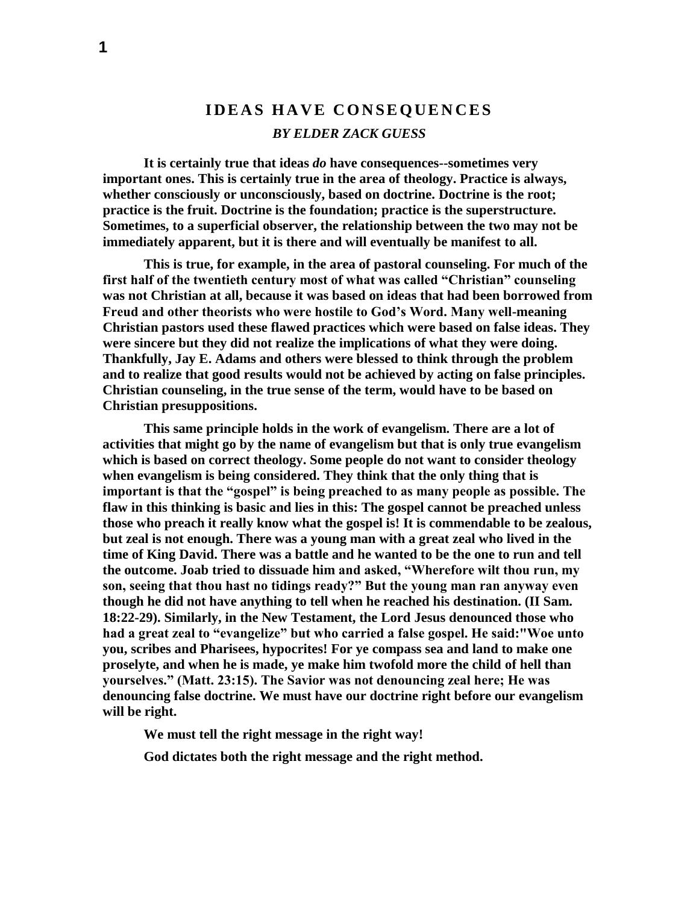## **I D E A S H A V E C O N S E Q U E N C E S** *BY ELDER ZACK GUESS*

**It is certainly true that ideas** *do* **have consequences--sometimes very important ones. This is certainly true in the area of theology. Practice is always, whether consciously or unconsciously, based on doctrine. Doctrine is the root; practice is the fruit. Doctrine is the foundation; practice is the superstructure. Sometimes, to a superficial observer, the relationship between the two may not be immediately apparent, but it is there and will eventually be manifest to all.**

**This is true, for example, in the area of pastoral counseling. For much of the first half of the twentieth century most of what was called "Christian" counseling was not Christian at all, because it was based on ideas that had been borrowed from Freud and other theorists who were hostile to God's Word. Many well-meaning Christian pastors used these flawed practices which were based on false ideas. They were sincere but they did not realize the implications of what they were doing. Thankfully, Jay E. Adams and others were blessed to think through the problem and to realize that good results would not be achieved by acting on false principles. Christian counseling, in the true sense of the term, would have to be based on Christian presuppositions.**

**This same principle holds in the work of evangelism. There are a lot of activities that might go by the name of evangelism but that is only true evangelism which is based on correct theology. Some people do not want to consider theology when evangelism is being considered. They think that the only thing that is important is that the "gospel" is being preached to as many people as possible. The flaw in this thinking is basic and lies in this: The gospel cannot be preached unless those who preach it really know what the gospel is! It is commendable to be zealous, but zeal is not enough. There was a young man with a great zeal who lived in the time of King David. There was a battle and he wanted to be the one to run and tell the outcome. Joab tried to dissuade him and asked, "Wherefore wilt thou run, my son, seeing that thou hast no tidings ready?" But the young man ran anyway even though he did not have anything to tell when he reached his destination. (II Sam. 18:22-29). Similarly, in the New Testament, the Lord Jesus denounced those who had a great zeal to "evangelize" but who carried a false gospel. He said:"Woe unto you, scribes and Pharisees, hypocrites! For ye compass sea and land to make one proselyte, and when he is made, ye make him twofold more the child of hell than yourselves." (Matt. 23:15). The Savior was not denouncing zeal here; He was denouncing false doctrine. We must have our doctrine right before our evangelism will be right.**

**We must tell the right message in the right way!**

**God dictates both the right message and the right method.**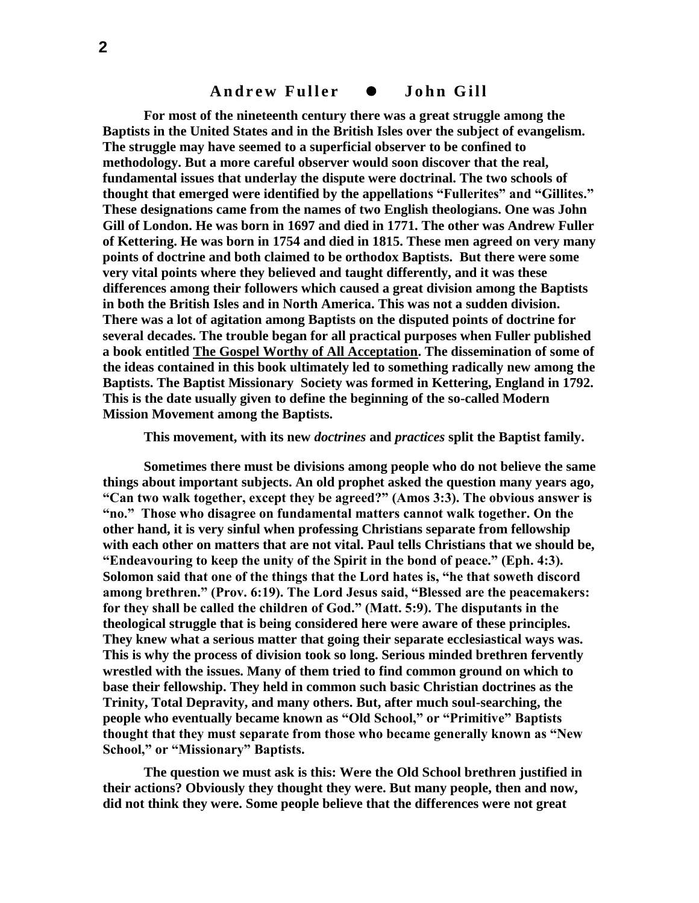## Andrew Fuller  $\bullet$  John Gill

**For most of the nineteenth century there was a great struggle among the Baptists in the United States and in the British Isles over the subject of evangelism. The struggle may have seemed to a superficial observer to be confined to methodology. But a more careful observer would soon discover that the real, fundamental issues that underlay the dispute were doctrinal. The two schools of thought that emerged were identified by the appellations "Fullerites" and "Gillites." These designations came from the names of two English theologians. One was John Gill of London. He was born in 1697 and died in 1771. The other was Andrew Fuller of Kettering. He was born in 1754 and died in 1815. These men agreed on very many points of doctrine and both claimed to be orthodox Baptists. But there were some very vital points where they believed and taught differently, and it was these differences among their followers which caused a great division among the Baptists in both the British Isles and in North America. This was not a sudden division. There was a lot of agitation among Baptists on the disputed points of doctrine for several decades. The trouble began for all practical purposes when Fuller published a book entitled The Gospel Worthy of All Acceptation. The dissemination of some of the ideas contained in this book ultimately led to something radically new among the Baptists. The Baptist Missionary Society was formed in Kettering, England in 1792. This is the date usually given to define the beginning of the so-called Modern Mission Movement among the Baptists.** 

**This movement, with its new** *doctrines* **and** *practices* **split the Baptist family.** 

**Sometimes there must be divisions among people who do not believe the same things about important subjects. An old prophet asked the question many years ago, "Can two walk together, except they be agreed?" (Amos 3:3). The obvious answer is "no." Those who disagree on fundamental matters cannot walk together. On the other hand, it is very sinful when professing Christians separate from fellowship with each other on matters that are not vital. Paul tells Christians that we should be, "Endeavouring to keep the unity of the Spirit in the bond of peace." (Eph. 4:3). Solomon said that one of the things that the Lord hates is, "he that soweth discord among brethren." (Prov. 6:19). The Lord Jesus said, "Blessed are the peacemakers: for they shall be called the children of God." (Matt. 5:9). The disputants in the theological struggle that is being considered here were aware of these principles. They knew what a serious matter that going their separate ecclesiastical ways was. This is why the process of division took so long. Serious minded brethren fervently wrestled with the issues. Many of them tried to find common ground on which to base their fellowship. They held in common such basic Christian doctrines as the Trinity, Total Depravity, and many others. But, after much soul-searching, the people who eventually became known as "Old School," or "Primitive" Baptists thought that they must separate from those who became generally known as "New School," or "Missionary" Baptists.** 

**The question we must ask is this: Were the Old School brethren justified in their actions? Obviously they thought they were. But many people, then and now, did not think they were. Some people believe that the differences were not great**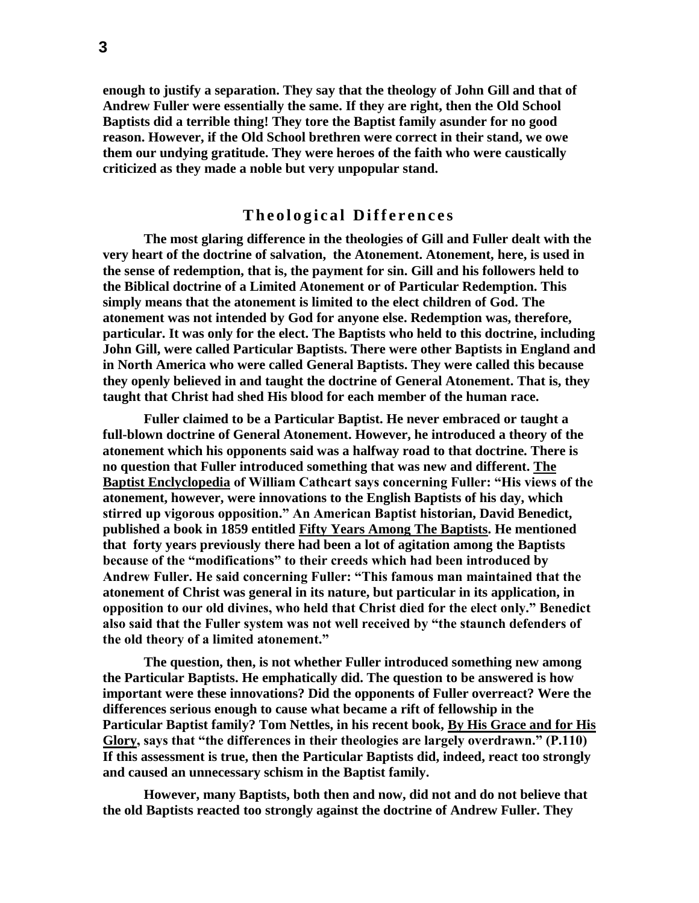**enough to justify a separation. They say that the theology of John Gill and that of Andrew Fuller were essentially the same. If they are right, then the Old School Baptists did a terrible thing! They tore the Baptist family asunder for no good reason. However, if the Old School brethren were correct in their stand, we owe them our undying gratitude. They were heroes of the faith who were caustically criticized as they made a noble but very unpopular stand.**

## **Theological Differences**

**The most glaring difference in the theologies of Gill and Fuller dealt with the very heart of the doctrine of salvation, the Atonement. Atonement, here, is used in the sense of redemption, that is, the payment for sin. Gill and his followers held to the Biblical doctrine of a Limited Atonement or of Particular Redemption. This simply means that the atonement is limited to the elect children of God. The atonement was not intended by God for anyone else. Redemption was, therefore, particular. It was only for the elect. The Baptists who held to this doctrine, including John Gill, were called Particular Baptists. There were other Baptists in England and in North America who were called General Baptists. They were called this because they openly believed in and taught the doctrine of General Atonement. That is, they taught that Christ had shed His blood for each member of the human race.** 

**Fuller claimed to be a Particular Baptist. He never embraced or taught a full-blown doctrine of General Atonement. However, he introduced a theory of the atonement which his opponents said was a halfway road to that doctrine. There is no question that Fuller introduced something that was new and different. The Baptist Enclyclopedia of William Cathcart says concerning Fuller: "His views of the atonement, however, were innovations to the English Baptists of his day, which stirred up vigorous opposition." An American Baptist historian, David Benedict, published a book in 1859 entitled Fifty Years Among The Baptists. He mentioned that forty years previously there had been a lot of agitation among the Baptists because of the "modifications" to their creeds which had been introduced by Andrew Fuller. He said concerning Fuller: "This famous man maintained that the atonement of Christ was general in its nature, but particular in its application, in opposition to our old divines, who held that Christ died for the elect only." Benedict also said that the Fuller system was not well received by "the staunch defenders of the old theory of a limited atonement."**

**The question, then, is not whether Fuller introduced something new among the Particular Baptists. He emphatically did. The question to be answered is how important were these innovations? Did the opponents of Fuller overreact? Were the differences serious enough to cause what became a rift of fellowship in the Particular Baptist family? Tom Nettles, in his recent book, By His Grace and for His Glory, says that "the differences in their theologies are largely overdrawn." (P.110) If this assessment is true, then the Particular Baptists did, indeed, react too strongly and caused an unnecessary schism in the Baptist family.**

**However, many Baptists, both then and now, did not and do not believe that the old Baptists reacted too strongly against the doctrine of Andrew Fuller. They**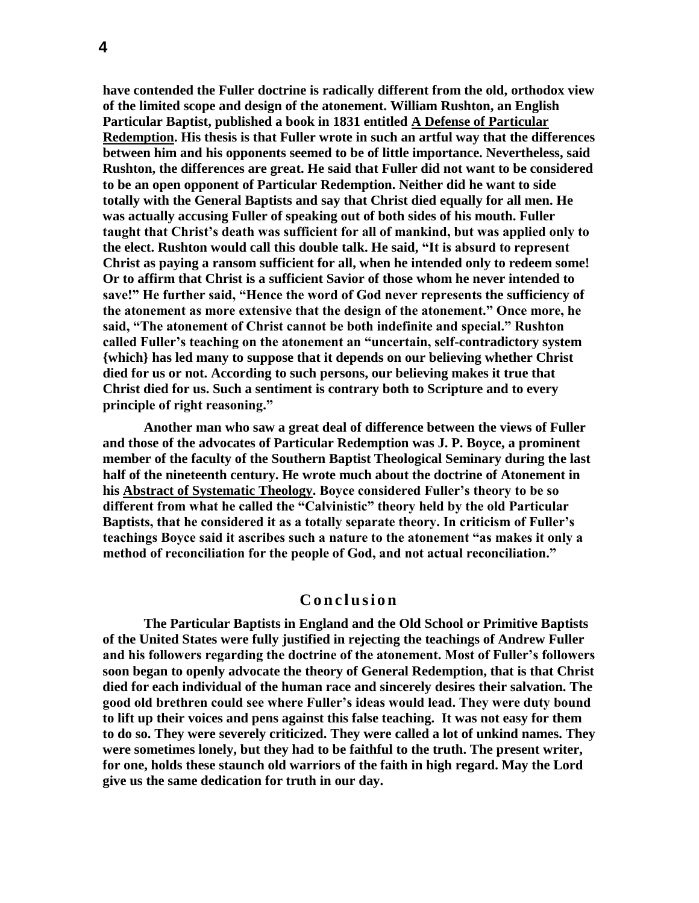**have contended the Fuller doctrine is radically different from the old, orthodox view of the limited scope and design of the atonement. William Rushton, an English Particular Baptist, published a book in 1831 entitled A Defense of Particular Redemption. His thesis is that Fuller wrote in such an artful way that the differences between him and his opponents seemed to be of little importance. Nevertheless, said Rushton, the differences are great. He said that Fuller did not want to be considered to be an open opponent of Particular Redemption. Neither did he want to side totally with the General Baptists and say that Christ died equally for all men. He was actually accusing Fuller of speaking out of both sides of his mouth. Fuller taught that Christ's death was sufficient for all of mankind, but was applied only to the elect. Rushton would call this double talk. He said, "It is absurd to represent Christ as paying a ransom sufficient for all, when he intended only to redeem some! Or to affirm that Christ is a sufficient Savior of those whom he never intended to save!" He further said, "Hence the word of God never represents the sufficiency of the atonement as more extensive that the design of the atonement." Once more, he said, "The atonement of Christ cannot be both indefinite and special." Rushton called Fuller's teaching on the atonement an "uncertain, self-contradictory system {which} has led many to suppose that it depends on our believing whether Christ died for us or not. According to such persons, our believing makes it true that Christ died for us. Such a sentiment is contrary both to Scripture and to every principle of right reasoning."**

**Another man who saw a great deal of difference between the views of Fuller and those of the advocates of Particular Redemption was J. P. Boyce, a prominent member of the faculty of the Southern Baptist Theological Seminary during the last half of the nineteenth century. He wrote much about the doctrine of Atonement in his Abstract of Systematic Theology. Boyce considered Fuller's theory to be so different from what he called the "Calvinistic" theory held by the old Particular Baptists, that he considered it as a totally separate theory. In criticism of Fuller's teachings Boyce said it ascribes such a nature to the atonement "as makes it only a method of reconciliation for the people of God, and not actual reconciliation."**

## **C o n c l u s i o n**

**The Particular Baptists in England and the Old School or Primitive Baptists of the United States were fully justified in rejecting the teachings of Andrew Fuller and his followers regarding the doctrine of the atonement. Most of Fuller's followers soon began to openly advocate the theory of General Redemption, that is that Christ died for each individual of the human race and sincerely desires their salvation. The good old brethren could see where Fuller's ideas would lead. They were duty bound to lift up their voices and pens against this false teaching. It was not easy for them to do so. They were severely criticized. They were called a lot of unkind names. They were sometimes lonely, but they had to be faithful to the truth. The present writer, for one, holds these staunch old warriors of the faith in high regard. May the Lord give us the same dedication for truth in our day.**